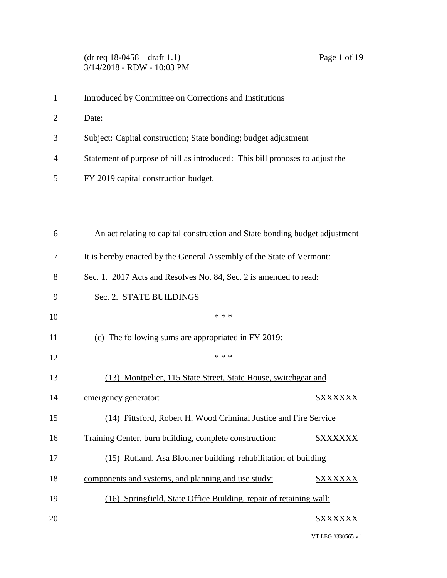# (dr req 18-0458 – draft 1.1) Page 1 of 19 3/14/2018 - RDW - 10:03 PM

- Introduced by Committee on Corrections and Institutions
- Date:
- Subject: Capital construction; State bonding; budget adjustment
- Statement of purpose of bill as introduced: This bill proposes to adjust the
- FY 2019 capital construction budget.

| 6  | An act relating to capital construction and State bonding budget adjustment            |  |
|----|----------------------------------------------------------------------------------------|--|
| 7  | It is hereby enacted by the General Assembly of the State of Vermont:                  |  |
| 8  | Sec. 1. 2017 Acts and Resolves No. 84, Sec. 2 is amended to read:                      |  |
| 9  | Sec. 2. STATE BUILDINGS                                                                |  |
| 10 | * * *                                                                                  |  |
| 11 | (c) The following sums are appropriated in FY 2019:                                    |  |
| 12 | * * *                                                                                  |  |
| 13 | (13) Montpelier, 115 State Street, State House, switchgear and                         |  |
| 14 | <b><i><u>SXXXXXX</u></i></b><br>emergency generator:                                   |  |
| 15 | (14) Pittsford, Robert H. Wood Criminal Justice and Fire Service                       |  |
| 16 | Training Center, burn building, complete construction:<br><b><i><u>SXXXXXX</u></i></b> |  |
| 17 | (15) Rutland, Asa Bloomer building, rehabilitation of building                         |  |
| 18 | components and systems, and planning and use study:<br><b><i>\$XXXXXX</i></b>          |  |
| 19 | (16) Springfield, State Office Building, repair of retaining wall:                     |  |
| 20 | <b>\$XXXXXX</b>                                                                        |  |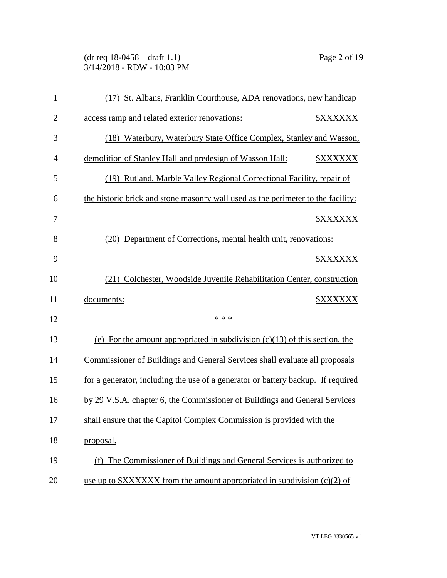(dr req 18-0458 – draft 1.1) Page 2 of 19 3/14/2018 - RDW - 10:03 PM

| $\mathbf{1}$   | (17) St. Albans, Franklin Courthouse, ADA renovations, new handicap              |                              |
|----------------|----------------------------------------------------------------------------------|------------------------------|
| $\overline{2}$ | access ramp and related exterior renovations:                                    | <b><i><u>SXXXXXX</u></i></b> |
| 3              | (18) Waterbury, Waterbury State Office Complex, Stanley and Wasson,              |                              |
| $\overline{4}$ | demolition of Stanley Hall and predesign of Wasson Hall:                         | <b><i>\$XXXXXX</i></b>       |
| 5              | (19) Rutland, Marble Valley Regional Correctional Facility, repair of            |                              |
| 6              | the historic brick and stone masonry wall used as the perimeter to the facility: |                              |
| 7              |                                                                                  | <b><i>\$XXXXXX</i></b>       |
| 8              | (20) Department of Corrections, mental health unit, renovations:                 |                              |
| 9              |                                                                                  | <b><i>\$XXXXXX</i></b>       |
| 10             | (21) Colchester, Woodside Juvenile Rehabilitation Center, construction           |                              |
| 11             | documents:                                                                       | <b><i>\$XXXXXX</i></b>       |
| 12             | * * *                                                                            |                              |
|                |                                                                                  |                              |
| 13             | (e) For the amount appropriated in subdivision $(c)(13)$ of this section, the    |                              |
| 14             | Commissioner of Buildings and General Services shall evaluate all proposals      |                              |
| 15             | for a generator, including the use of a generator or battery backup. If required |                              |
| 16             | by 29 V.S.A. chapter 6, the Commissioner of Buildings and General Services       |                              |
| 17             | shall ensure that the Capitol Complex Commission is provided with the            |                              |
| 18             | proposal.                                                                        |                              |
| 19             | (f) The Commissioner of Buildings and General Services is authorized to          |                              |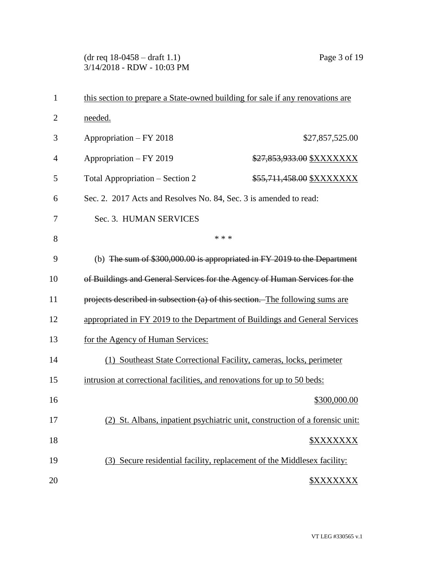(dr req 18-0458 – draft 1.1) Page 3 of 19 3/14/2018 - RDW - 10:03 PM

| $\mathbf{1}$   | this section to prepare a State-owned building for sale if any renovations are |                                                                              |
|----------------|--------------------------------------------------------------------------------|------------------------------------------------------------------------------|
| $\overline{2}$ | needed.                                                                        |                                                                              |
| 3              | Appropriation - FY 2018                                                        | \$27,857,525.00                                                              |
| 4              | Appropriation - FY 2019                                                        | \$27,853,933.00 \$XXXXXXX                                                    |
| 5              | Total Appropriation – Section 2                                                | \$55,711,458.00 \$XXXXXXX                                                    |
| 6              | Sec. 2. 2017 Acts and Resolves No. 84, Sec. 3 is amended to read:              |                                                                              |
| 7              | Sec. 3. HUMAN SERVICES                                                         |                                                                              |
| 8              | * * *                                                                          |                                                                              |
| 9              | (b) The sum of $$300,000.00$ is appropriated in FY 2019 to the Department      |                                                                              |
| 10             | of Buildings and General Services for the Agency of Human Services for the     |                                                                              |
| 11             | projects described in subsection (a) of this section. The following sums are   |                                                                              |
| 12             | appropriated in FY 2019 to the Department of Buildings and General Services    |                                                                              |
| 13             | for the Agency of Human Services:                                              |                                                                              |
| 14             | (1) Southeast State Correctional Facility, cameras, locks, perimeter           |                                                                              |
| 15             | intrusion at correctional facilities, and renovations for up to 50 beds:       |                                                                              |
| 16             |                                                                                | \$300,000.00                                                                 |
| 17             |                                                                                | (2) St. Albans, inpatient psychiatric unit, construction of a forensic unit: |
| 18             |                                                                                |                                                                              |
| 19             | (3) Secure residential facility, replacement of the Middlesex facility:        |                                                                              |
| 20             |                                                                                | <b><i><u>SXXXXXXX</u></i></b>                                                |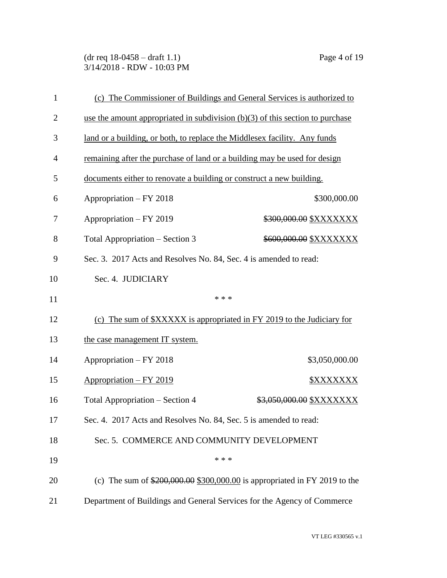(dr req 18-0458 – draft 1.1) Page 4 of 19 3/14/2018 - RDW - 10:03 PM

| $\mathbf{1}$   | (c) The Commissioner of Buildings and General Services is authorized to               |                                                                           |  |
|----------------|---------------------------------------------------------------------------------------|---------------------------------------------------------------------------|--|
| $\overline{2}$ | use the amount appropriated in subdivision $(b)(3)$ of this section to purchase       |                                                                           |  |
| 3              |                                                                                       | land or a building, or both, to replace the Middlesex facility. Any funds |  |
| $\overline{4}$ |                                                                                       | remaining after the purchase of land or a building may be used for design |  |
| 5              | documents either to renovate a building or construct a new building.                  |                                                                           |  |
| 6              | Appropriation - FY 2018                                                               | \$300,000.00                                                              |  |
| 7              | Appropriation - FY 2019                                                               | \$300,000.00 \$XXXXXXX                                                    |  |
| 8              | Total Appropriation – Section 3                                                       | \$600,000.00 \$XXXXXXX                                                    |  |
| 9              |                                                                                       | Sec. 3. 2017 Acts and Resolves No. 84, Sec. 4 is amended to read:         |  |
| 10             | Sec. 4. JUDICIARY                                                                     |                                                                           |  |
|                | * * *                                                                                 |                                                                           |  |
| 11             |                                                                                       |                                                                           |  |
| 12             | (c) The sum of $\frac{3}{2}$ XXXXX is appropriated in FY 2019 to the Judiciary for    |                                                                           |  |
| 13             | the case management IT system.                                                        |                                                                           |  |
| 14             | Appropriation - FY 2018                                                               | \$3,050,000.00                                                            |  |
| 15             | Appropriation - FY 2019                                                               | <u> \$XXXXXXX</u>                                                         |  |
| 16             | Total Appropriation – Section 4                                                       | \$3,050,000.00 \$XXXXXXX                                                  |  |
| 17             | Sec. 4. 2017 Acts and Resolves No. 84, Sec. 5 is amended to read:                     |                                                                           |  |
| 18             | Sec. 5. COMMERCE AND COMMUNITY DEVELOPMENT                                            |                                                                           |  |
| 19             | * * *                                                                                 |                                                                           |  |
| 20             | (c) The sum of $\frac{$200,000.00 \ $300,000.00}{}$ is appropriated in FY 2019 to the |                                                                           |  |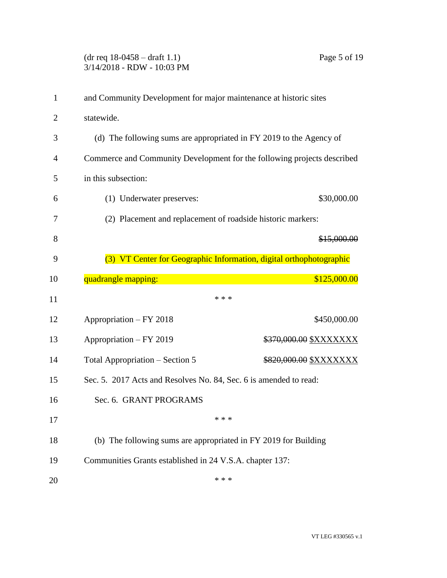# (dr req 18-0458 – draft 1.1) Page 5 of 19 3/14/2018 - RDW - 10:03 PM

| $\mathbf{1}$ | and Community Development for major maintenance at historic sites       |                               |
|--------------|-------------------------------------------------------------------------|-------------------------------|
| 2            | statewide.                                                              |                               |
| 3            | (d) The following sums are appropriated in FY 2019 to the Agency of     |                               |
| 4            | Commerce and Community Development for the following projects described |                               |
| 5            | in this subsection:                                                     |                               |
| 6            | (1) Underwater preserves:                                               | \$30,000.00                   |
| 7            | (2) Placement and replacement of roadside historic markers:             |                               |
| 8            |                                                                         | \$15,000.00                   |
| 9            | (3) VT Center for Geographic Information, digital orthophotographic     |                               |
| 10           | quadrangle mapping:<br>\$125,000.00                                     |                               |
| 11           | * * *                                                                   |                               |
| 12           | Appropriation – FY 2018                                                 | \$450,000.00                  |
| 13           | Appropriation - FY 2019                                                 | \$370,000.00 \$XXXXXXX        |
| 14           | Total Appropriation – Section 5                                         | \$820,000.00 <u>\$XXXXXXX</u> |
| 15           | Sec. 5. 2017 Acts and Resolves No. 84, Sec. 6 is amended to read:       |                               |
| 16           | Sec. 6. GRANT PROGRAMS                                                  |                               |
| 17           | * * *                                                                   |                               |
| 18           | (b) The following sums are appropriated in FY 2019 for Building         |                               |
| 19           | Communities Grants established in 24 V.S.A. chapter 137:                |                               |
| 20           | * * *                                                                   |                               |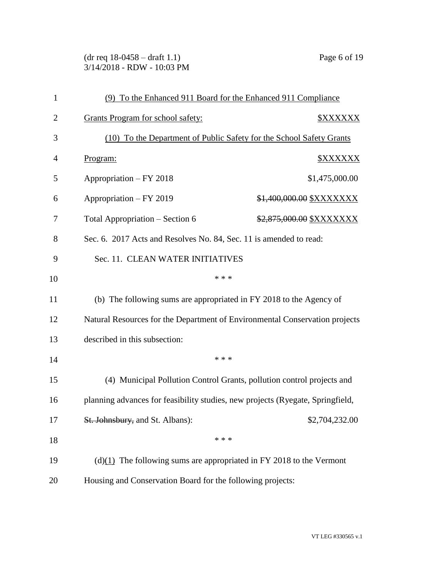(dr req 18-0458 – draft 1.1) Page 6 of 19 3/14/2018 - RDW - 10:03 PM

| $\mathbf{1}$   | (9) To the Enhanced 911 Board for the Enhanced 911 Compliance                  |  |
|----------------|--------------------------------------------------------------------------------|--|
| $\overline{2}$ | <b>Grants Program for school safety:</b><br><b><i>\$XXXXXX</i></b>             |  |
| 3              | (10) To the Department of Public Safety for the School Safety Grants           |  |
| 4              | Program:<br><b><i>\$XXXXXX</i></b>                                             |  |
| 5              | Appropriation - FY 2018<br>\$1,475,000.00                                      |  |
| 6              | Appropriation - FY 2019<br>\$1,400,000.00 \$XXXXXXX                            |  |
| 7              | Total Appropriation – Section 6<br>\$2,875,000.00 \$XXXXXXX                    |  |
| 8              | Sec. 6. 2017 Acts and Resolves No. 84, Sec. 11 is amended to read:             |  |
| 9              | Sec. 11. CLEAN WATER INITIATIVES                                               |  |
| 10             | * * *                                                                          |  |
| 11             | (b) The following sums are appropriated in FY 2018 to the Agency of            |  |
| 12             | Natural Resources for the Department of Environmental Conservation projects    |  |
| 13             | described in this subsection:                                                  |  |
| 14             | * * *                                                                          |  |
| 15             | (4) Municipal Pollution Control Grants, pollution control projects and         |  |
| 16             | planning advances for feasibility studies, new projects (Ryegate, Springfield, |  |
| 17             | St. Johnsbury, and St. Albans):<br>\$2,704,232.00                              |  |
| 18             | * * *                                                                          |  |
| 19             | $(d)(1)$ The following sums are appropriated in FY 2018 to the Vermont         |  |
| 20             | Housing and Conservation Board for the following projects:                     |  |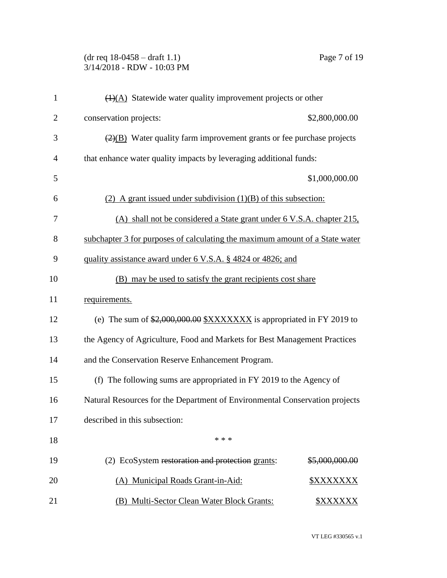# (dr req 18-0458 – draft 1.1) Page 7 of 19 3/14/2018 - RDW - 10:03 PM

| $\mathbf{1}$   | $\overline{(1)(A)}$ Statewide water quality improvement projects or other                 |                        |
|----------------|-------------------------------------------------------------------------------------------|------------------------|
| $\overline{2}$ | conservation projects:                                                                    | \$2,800,000.00         |
| 3              | $\left(\frac{2}{2}\right)$ Water quality farm improvement grants or fee purchase projects |                        |
| $\overline{4}$ | that enhance water quality impacts by leveraging additional funds:                        |                        |
| 5              |                                                                                           | \$1,000,000.00         |
| 6              | (2) A grant issued under subdivision $(1)(B)$ of this subsection:                         |                        |
| 7              | (A) shall not be considered a State grant under 6 V.S.A. chapter 215.                     |                        |
| 8              | subchapter 3 for purposes of calculating the maximum amount of a State water              |                        |
| 9              | quality assistance award under 6 V.S.A. § 4824 or 4826; and                               |                        |
| 10             | (B) may be used to satisfy the grant recipients cost share                                |                        |
| 11             | requirements.                                                                             |                        |
| 12             | (e) The sum of $$2,000,000.00$ $$XXXXXX$ is appropriated in FY 2019 to                    |                        |
| 13             | the Agency of Agriculture, Food and Markets for Best Management Practices                 |                        |
| 14             | and the Conservation Reserve Enhancement Program.                                         |                        |
| 15             | (f) The following sums are appropriated in FY 2019 to the Agency of                       |                        |
| 16             | Natural Resources for the Department of Environmental Conservation projects               |                        |
| 17             | described in this subsection:                                                             |                        |
| 18             | * * *                                                                                     |                        |
| 19             | (2) EcoSystem restoration and protection grants:                                          | \$5,000,000.00         |
| 20             | (A) Municipal Roads Grant-in-Aid:                                                         | \$XXXXXXX              |
| 21             | Multi-Sector Clean Water Block Grants:<br>(B)                                             | <b><i>\$XXXXXX</i></b> |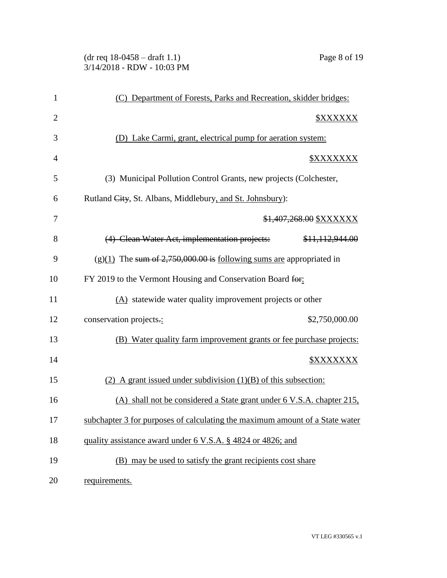## (dr req 18-0458 – draft 1.1) Page 8 of 19 3/14/2018 - RDW - 10:03 PM

| $\mathbf{1}$   | (C) Department of Forests, Parks and Recreation, skidder bridges:            |  |
|----------------|------------------------------------------------------------------------------|--|
| $\overline{2}$ | <b><i>SXXXXXX</i></b>                                                        |  |
| 3              | (D) Lake Carmi, grant, electrical pump for aeration system:                  |  |
| $\overline{4}$ | <u> \$XXXXXXX</u>                                                            |  |
| 5              | (3) Municipal Pollution Control Grants, new projects (Colchester,            |  |
| 6              | Rutland City, St. Albans, Middlebury, and St. Johnsbury):                    |  |
| 7              | \$1,407,268.00 \$XXXXXX                                                      |  |
| 8              | (4) Clean Water Act, implementation projects:<br>\$11,112,944.00             |  |
| 9              | $(g)(1)$ The sum of 2,750,000.00 is following sums are appropriated in       |  |
| 10             | FY 2019 to the Vermont Housing and Conservation Board for:                   |  |
| 11             | (A) statewide water quality improvement projects or other                    |  |
| 12             | conservation projects.:<br>\$2,750,000.00                                    |  |
| 13             | (B) Water quality farm improvement grants or fee purchase projects:          |  |
| 14             | <b><i><u>SXXXXXXX</u></i></b>                                                |  |
| 15             | $(2)$ A grant issued under subdivision $(1)(B)$ of this subsection:          |  |
| 16             | (A) shall not be considered a State grant under 6 V.S.A. chapter 215,        |  |
| 17             | subchapter 3 for purposes of calculating the maximum amount of a State water |  |
| 18             | quality assistance award under 6 V.S.A. § 4824 or 4826; and                  |  |
| 19             | (B) may be used to satisfy the grant recipients cost share                   |  |
| 20             | requirements.                                                                |  |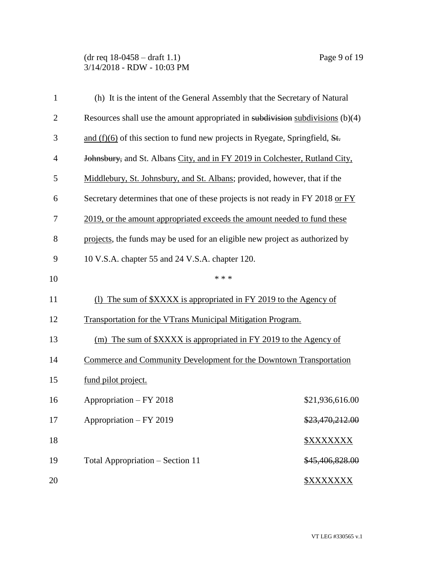## (dr req 18-0458 – draft 1.1) Page 9 of 19 3/14/2018 - RDW - 10:03 PM

| $\mathbf{1}$ | (h) It is the intent of the General Assembly that the Secretary of Natural       |                         |
|--------------|----------------------------------------------------------------------------------|-------------------------|
| $\mathbf{2}$ | Resources shall use the amount appropriated in subdivision subdivisions $(b)(4)$ |                         |
| 3            | and $(f)(6)$ of this section to fund new projects in Ryegate, Springfield, St.   |                         |
| 4            | Johnsbury, and St. Albans City, and in FY 2019 in Colchester, Rutland City,      |                         |
| 5            | Middlebury, St. Johnsbury, and St. Albans; provided, however, that if the        |                         |
| 6            | Secretary determines that one of these projects is not ready in FY 2018 or FY    |                         |
| 7            | 2019, or the amount appropriated exceeds the amount needed to fund these         |                         |
| 8            | projects, the funds may be used for an eligible new project as authorized by     |                         |
| 9            | 10 V.S.A. chapter 55 and 24 V.S.A. chapter 120.                                  |                         |
| 10           | * * *                                                                            |                         |
| 11           | (1) The sum of \$XXXX is appropriated in FY 2019 to the Agency of                |                         |
| 12           | <b>Transportation for the VTrans Municipal Mitigation Program.</b>               |                         |
| 13           | (m) The sum of \$XXXX is appropriated in FY 2019 to the Agency of                |                         |
| 14           | Commerce and Community Development for the Downtown Transportation               |                         |
| 15           | fund pilot project.                                                              |                         |
| 16           | Appropriation - FY 2018                                                          | \$21,936,616.00         |
| 17           | Appropriation - FY 2019                                                          | \$23,470,212.00         |
| 18           |                                                                                  | <b><i>\$XXXXXXX</i></b> |
| 19           | Total Appropriation – Section 11                                                 | \$45,406,828.00         |
| 20           |                                                                                  | <b><i>\$XXXXXXX</i></b> |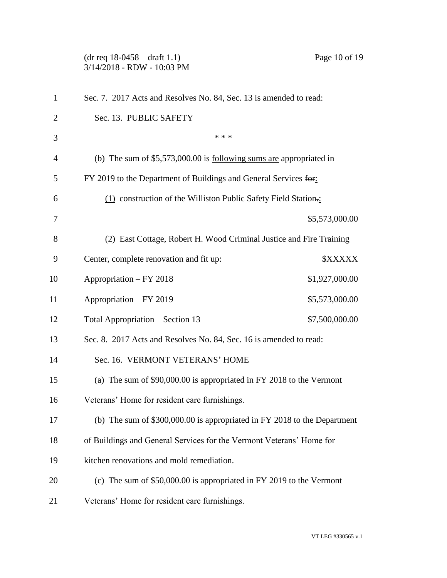(dr req 18-0458 – draft 1.1) Page 10 of 19 3/14/2018 - RDW - 10:03 PM Sec. 7. 2017 Acts and Resolves No. 84, Sec. 13 is amended to read: Sec. 13. PUBLIC SAFETY  $***$  (b) The sum of \$5,573,000.00 is following sums are appropriated in FY 2019 to the Department of Buildings and General Services for: (1) construction of the Williston Public Safety Field Station.: \$5,573,000.00 (2) East Cottage, Robert H. Wood Criminal Justice and Fire Training 9 Center, complete renovation and fit up:  $$XXXXX$  Appropriation – FY 2018 \$1,927,000.00 11 Appropriation – FY 2019 \$5,573,000.00 Total Appropriation – Section 13 \$7,500,000.00 Sec. 8. 2017 Acts and Resolves No. 84, Sec. 16 is amended to read: Sec. 16. VERMONT VETERANS' HOME (a) The sum of \$90,000.00 is appropriated in FY 2018 to the Vermont Veterans' Home for resident care furnishings. (b) The sum of \$300,000.00 is appropriated in FY 2018 to the Department of Buildings and General Services for the Vermont Veterans' Home for kitchen renovations and mold remediation. (c) The sum of \$50,000.00 is appropriated in FY 2019 to the Vermont Veterans' Home for resident care furnishings.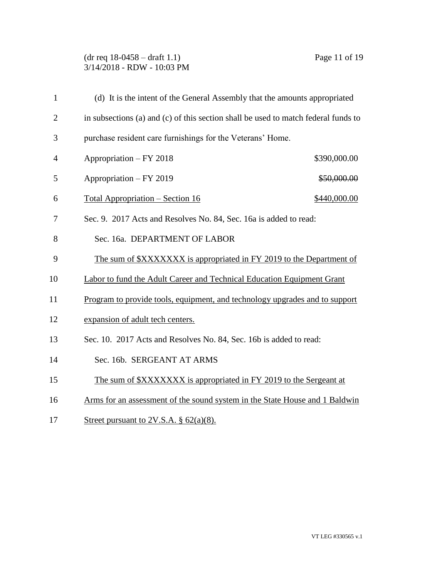### (dr req 18-0458 – draft 1.1) Page 11 of 19 3/14/2018 - RDW - 10:03 PM

| $\mathbf{1}$   | (d) It is the intent of the General Assembly that the amounts appropriated         |  |
|----------------|------------------------------------------------------------------------------------|--|
| $\overline{2}$ | in subsections (a) and (c) of this section shall be used to match federal funds to |  |
| 3              | purchase resident care furnishings for the Veterans' Home.                         |  |
| 4              | Appropriation - FY 2018<br>\$390,000.00                                            |  |
| 5              | Appropriation - FY 2019<br>\$50,000.00                                             |  |
| 6              | <u> Total Appropriation – Section 16</u><br>\$440,000.00                           |  |
| 7              | Sec. 9. 2017 Acts and Resolves No. 84, Sec. 16a is added to read:                  |  |
| 8              | Sec. 16a. DEPARTMENT OF LABOR                                                      |  |
| 9              | The sum of \$XXXXXXX is appropriated in FY 2019 to the Department of               |  |
| 10             | Labor to fund the Adult Career and Technical Education Equipment Grant             |  |
| 11             | Program to provide tools, equipment, and technology upgrades and to support        |  |
| 12             | expansion of adult tech centers.                                                   |  |
| 13             | Sec. 10. 2017 Acts and Resolves No. 84, Sec. 16b is added to read:                 |  |
| 14             | Sec. 16b. SERGEANT AT ARMS                                                         |  |
| 15             | The sum of \$XXXXXXX is appropriated in FY 2019 to the Sergeant at                 |  |
| 16             | Arms for an assessment of the sound system in the State House and 1 Baldwin        |  |

17 Street pursuant to 2V.S.A.  $\S$  62(a)(8).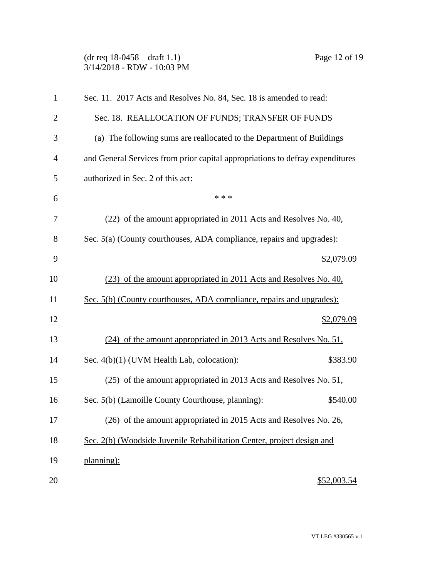## (dr req 18-0458 – draft 1.1) Page 12 of 19 3/14/2018 - RDW - 10:03 PM

| $\mathbf{1}$   | Sec. 11. 2017 Acts and Resolves No. 84, Sec. 18 is amended to read:           |
|----------------|-------------------------------------------------------------------------------|
| $\overline{2}$ | Sec. 18. REALLOCATION OF FUNDS; TRANSFER OF FUNDS                             |
| 3              | (a) The following sums are reallocated to the Department of Buildings         |
| $\overline{4}$ | and General Services from prior capital appropriations to defray expenditures |
| 5              | authorized in Sec. 2 of this act:                                             |
| 6              | * * *                                                                         |
| 7              | (22) of the amount appropriated in 2011 Acts and Resolves No. 40,             |
| 8              | Sec. 5(a) (County courthouses, ADA compliance, repairs and upgrades):         |
| 9              | \$2,079.09                                                                    |
| 10             | (23) of the amount appropriated in 2011 Acts and Resolves No. 40,             |
| 11             | Sec. 5(b) (County courthouses, ADA compliance, repairs and upgrades):         |
| 12             | \$2,079.09                                                                    |
| 13             | (24) of the amount appropriated in 2013 Acts and Resolves No. 51,             |
| 14             | Sec. 4(b)(1) (UVM Health Lab, colocation):<br>\$383.90                        |
| 15             | (25) of the amount appropriated in 2013 Acts and Resolves No. 51,             |
| 16             | Sec. 5(b) (Lamoille County Courthouse, planning):<br>\$540.00                 |
| 17             | (26) of the amount appropriated in 2015 Acts and Resolves No. 26,             |
| 18             | Sec. 2(b) (Woodside Juvenile Rehabilitation Center, project design and        |
| 19             | planning):                                                                    |
| 20             | \$52,003.54                                                                   |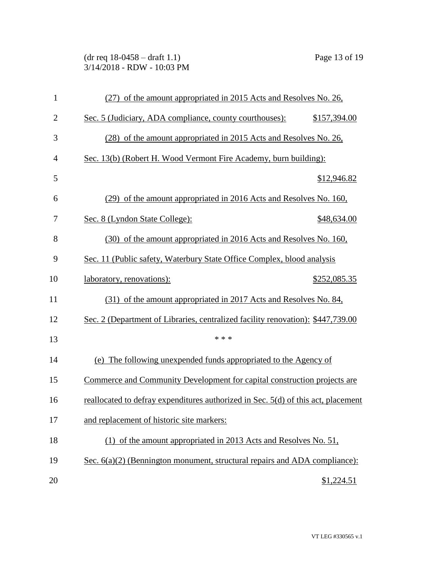(dr req 18-0458 – draft 1.1) Page 13 of 19 3/14/2018 - RDW - 10:03 PM

| $\mathbf{1}$   | (27) of the amount appropriated in 2015 Acts and Resolves No. 26,                 |  |
|----------------|-----------------------------------------------------------------------------------|--|
| $\overline{2}$ | Sec. 5 (Judiciary, ADA compliance, county courthouses):<br>\$157,394.00           |  |
| 3              | (28) of the amount appropriated in 2015 Acts and Resolves No. 26,                 |  |
| $\overline{4}$ | Sec. 13(b) (Robert H. Wood Vermont Fire Academy, burn building):                  |  |
| 5              | \$12,946.82                                                                       |  |
| 6              | (29) of the amount appropriated in 2016 Acts and Resolves No. 160,                |  |
| 7              | Sec. 8 (Lyndon State College):<br>\$48,634.00                                     |  |
| 8              | (30) of the amount appropriated in 2016 Acts and Resolves No. 160,                |  |
| 9              | Sec. 11 (Public safety, Waterbury State Office Complex, blood analysis            |  |
| 10             | laboratory, renovations):<br>\$252,085.35                                         |  |
| 11             | (31) of the amount appropriated in 2017 Acts and Resolves No. 84,                 |  |
| 12             | Sec. 2 (Department of Libraries, centralized facility renovation): \$447,739.00   |  |
| 13             | * * *                                                                             |  |
| 14             | (e) The following unexpended funds appropriated to the Agency of                  |  |
| 15             | Commerce and Community Development for capital construction projects are          |  |
| 16             | reallocated to defray expenditures authorized in Sec. 5(d) of this act, placement |  |
| 17             | and replacement of historic site markers:                                         |  |
| 18             | (1) of the amount appropriated in 2013 Acts and Resolves No. 51,                  |  |
| 19             | Sec. $6(a)(2)$ (Bennington monument, structural repairs and ADA compliance):      |  |
| 20             | \$1,224.51                                                                        |  |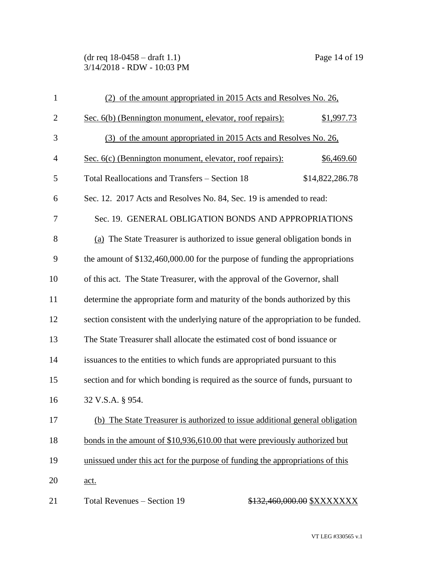(dr req 18-0458 – draft 1.1) Page 14 of 19 3/14/2018 - RDW - 10:03 PM

| $\mathbf{1}$   | (2) of the amount appropriated in 2015 Acts and Resolves No. 26,                 |                 |
|----------------|----------------------------------------------------------------------------------|-----------------|
| $\overline{2}$ | Sec. 6(b) (Bennington monument, elevator, roof repairs):                         | \$1,997.73      |
| 3              | (3) of the amount appropriated in 2015 Acts and Resolves No. 26,                 |                 |
| $\overline{4}$ | Sec. 6(c) (Bennington monument, elevator, roof repairs):                         | \$6,469.60      |
| 5              | <b>Total Reallocations and Transfers - Section 18</b>                            | \$14,822,286.78 |
| 6              | Sec. 12. 2017 Acts and Resolves No. 84, Sec. 19 is amended to read:              |                 |
| 7              | Sec. 19. GENERAL OBLIGATION BONDS AND APPROPRIATIONS                             |                 |
| 8              | (a) The State Treasurer is authorized to issue general obligation bonds in       |                 |
| 9              | the amount of $$132,460,000.00$ for the purpose of funding the appropriations    |                 |
| 10             | of this act. The State Treasurer, with the approval of the Governor, shall       |                 |
| 11             | determine the appropriate form and maturity of the bonds authorized by this      |                 |
| 12             | section consistent with the underlying nature of the appropriation to be funded. |                 |
| 13             | The State Treasurer shall allocate the estimated cost of bond issuance or        |                 |
| 14             | issuances to the entities to which funds are appropriated pursuant to this       |                 |
| 15             | section and for which bonding is required as the source of funds, pursuant to    |                 |
| 16             | 32 V.S.A. § 954.                                                                 |                 |
| 17             | (b) The State Treasurer is authorized to issue additional general obligation     |                 |
| 18             | bonds in the amount of \$10,936,610.00 that were previously authorized but       |                 |
| 19             | unissued under this act for the purpose of funding the appropriations of this    |                 |
| 20             | <u>act.</u>                                                                      |                 |
| 21             | Total Revenues - Section 19<br>\$132,460,000.00 \$XXXXXXX                        |                 |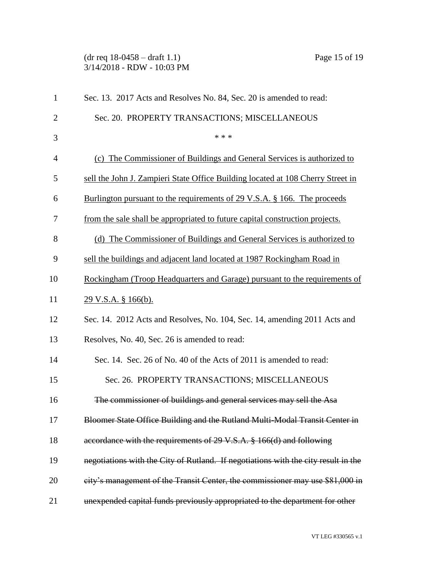(dr req 18-0458 – draft 1.1) Page 15 of 19 3/14/2018 - RDW - 10:03 PM

| $\mathbf{1}$   | Sec. 13. 2017 Acts and Resolves No. 84, Sec. 20 is amended to read:                |
|----------------|------------------------------------------------------------------------------------|
| $\overline{2}$ | Sec. 20. PROPERTY TRANSACTIONS; MISCELLANEOUS                                      |
| 3              | * * *                                                                              |
| $\overline{4}$ | (c) The Commissioner of Buildings and General Services is authorized to            |
| 5              | sell the John J. Zampieri State Office Building located at 108 Cherry Street in    |
| 6              | Burlington pursuant to the requirements of 29 V.S.A. § 166. The proceeds           |
| 7              | from the sale shall be appropriated to future capital construction projects.       |
| 8              | (d) The Commissioner of Buildings and General Services is authorized to            |
| 9              | sell the buildings and adjacent land located at 1987 Rockingham Road in            |
| 10             | Rockingham (Troop Headquarters and Garage) pursuant to the requirements of         |
| 11             | <u>29 V.S.A. § 166(b).</u>                                                         |
| 12             | Sec. 14. 2012 Acts and Resolves, No. 104, Sec. 14, amending 2011 Acts and          |
| 13             | Resolves, No. 40, Sec. 26 is amended to read:                                      |
| 14             | Sec. 14. Sec. 26 of No. 40 of the Acts of 2011 is amended to read:                 |
| 15             | Sec. 26. PROPERTY TRANSACTIONS; MISCELLANEOUS                                      |
| 16             | The commissioner of buildings and general services may sell the Asa                |
| 17             | Bloomer State Office Building and the Rutland Multi-Modal Transit Center in        |
| 18             | accordance with the requirements of 29 V.S.A. § 166(d) and following               |
| 19             | negotiations with the City of Rutland. If negotiations with the city result in the |
| 20             | eity's management of the Transit Center, the commissioner may use \$81,000 in      |
| 21             | unexpended capital funds previously appropriated to the department for other       |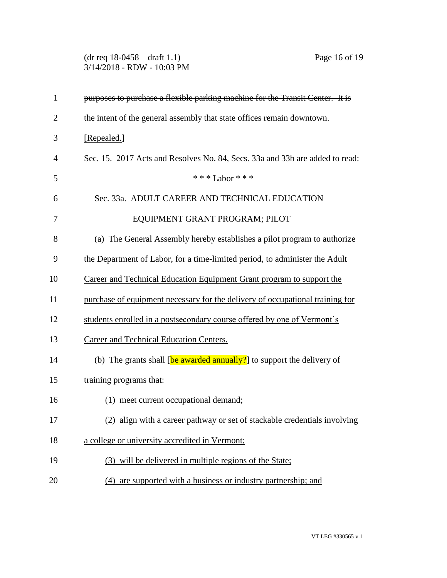(dr req 18-0458 – draft 1.1) Page 16 of 19 3/14/2018 - RDW - 10:03 PM

| $\mathbf{1}$   | purposes to purchase a flexible parking machine for the Transit Center. It is |
|----------------|-------------------------------------------------------------------------------|
| $\overline{2}$ | the intent of the general assembly that state offices remain downtown.        |
| 3              | [Repealed.]                                                                   |
| 4              | Sec. 15. 2017 Acts and Resolves No. 84, Secs. 33a and 33b are added to read:  |
| 5              | *** Labor ***                                                                 |
| 6              | Sec. 33a. ADULT CAREER AND TECHNICAL EDUCATION                                |
| 7              | EQUIPMENT GRANT PROGRAM; PILOT                                                |
| 8              | (a) The General Assembly hereby establishes a pilot program to authorize      |
| 9              | the Department of Labor, for a time-limited period, to administer the Adult   |
| 10             | Career and Technical Education Equipment Grant program to support the         |
| 11             | purchase of equipment necessary for the delivery of occupational training for |
| 12             | students enrolled in a postsecondary course offered by one of Vermont's       |
| 13             | Career and Technical Education Centers.                                       |
| 14             | (b) The grants shall [be awarded annually?] to support the delivery of        |
| 15             | training programs that:                                                       |
| 16             | (1) meet current occupational demand;                                         |
| 17             | (2) align with a career pathway or set of stackable credentials involving     |
| 18             | a college or university accredited in Vermont;                                |
| 19             | (3) will be delivered in multiple regions of the State;                       |
| 20             | (4) are supported with a business or industry partnership; and                |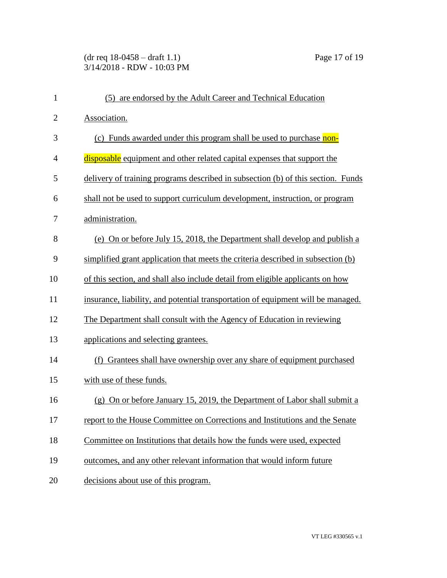# (dr req 18-0458 – draft 1.1) Page 17 of 19 3/14/2018 - RDW - 10:03 PM

| $\mathbf{1}$   | (5) are endorsed by the Adult Career and Technical Education                     |
|----------------|----------------------------------------------------------------------------------|
| $\overline{2}$ | Association.                                                                     |
| 3              | (c) Funds awarded under this program shall be used to purchase non-              |
| $\overline{4}$ | disposable equipment and other related capital expenses that support the         |
| 5              | delivery of training programs described in subsection (b) of this section. Funds |
| 6              | shall not be used to support curriculum development, instruction, or program     |
| 7              | administration.                                                                  |
| 8              | (e) On or before July 15, 2018, the Department shall develop and publish a       |
| 9              | simplified grant application that meets the criteria described in subsection (b) |
| 10             | of this section, and shall also include detail from eligible applicants on how   |
| 11             | insurance, liability, and potential transportation of equipment will be managed. |
| 12             | The Department shall consult with the Agency of Education in reviewing           |
| 13             | applications and selecting grantees.                                             |
| 14             | (f) Grantees shall have ownership over any share of equipment purchased          |
| 15             | with use of these funds.                                                         |
| 16             | (g) On or before January 15, 2019, the Department of Labor shall submit a        |
| 17             | report to the House Committee on Corrections and Institutions and the Senate     |
| 18             | Committee on Institutions that details how the funds were used, expected         |
| 19             | outcomes, and any other relevant information that would inform future            |
| 20             | decisions about use of this program.                                             |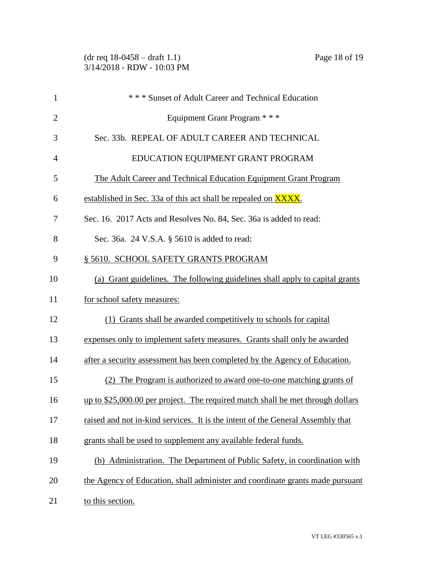| $\mathbf{1}$   | *** Sunset of Adult Career and Technical Education                             |
|----------------|--------------------------------------------------------------------------------|
| $\overline{2}$ | Equipment Grant Program * * *                                                  |
| 3              | Sec. 33b. REPEAL OF ADULT CAREER AND TECHNICAL                                 |
| $\overline{4}$ | EDUCATION EQUIPMENT GRANT PROGRAM                                              |
| 5              | The Adult Career and Technical Education Equipment Grant Program               |
| 6              | established in Sec. 33a of this act shall be repealed on <b>XXXX</b> .         |
| 7              | Sec. 16. 2017 Acts and Resolves No. 84, Sec. 36a is added to read:             |
| 8              | Sec. 36a. 24 V.S.A. § 5610 is added to read:                                   |
| 9              | § 5610. SCHOOL SAFETY GRANTS PROGRAM                                           |
| 10             | (a) Grant guidelines. The following guidelines shall apply to capital grants   |
| 11             | for school safety measures:                                                    |
| 12             | (1) Grants shall be awarded competitively to schools for capital               |
| 13             | expenses only to implement safety measures. Grants shall only be awarded       |
| 14             | after a security assessment has been completed by the Agency of Education.     |
| 15             | (2) The Program is authorized to award one-to-one matching grants of           |
| 16             | up to \$25,000.00 per project. The required match shall be met through dollars |
| 17             | raised and not in-kind services. It is the intent of the General Assembly that |
| 18             | grants shall be used to supplement any available federal funds.                |
| 19             | (b) Administration. The Department of Public Safety, in coordination with      |
| 20             | the Agency of Education, shall administer and coordinate grants made pursuant  |
| 21             | to this section.                                                               |